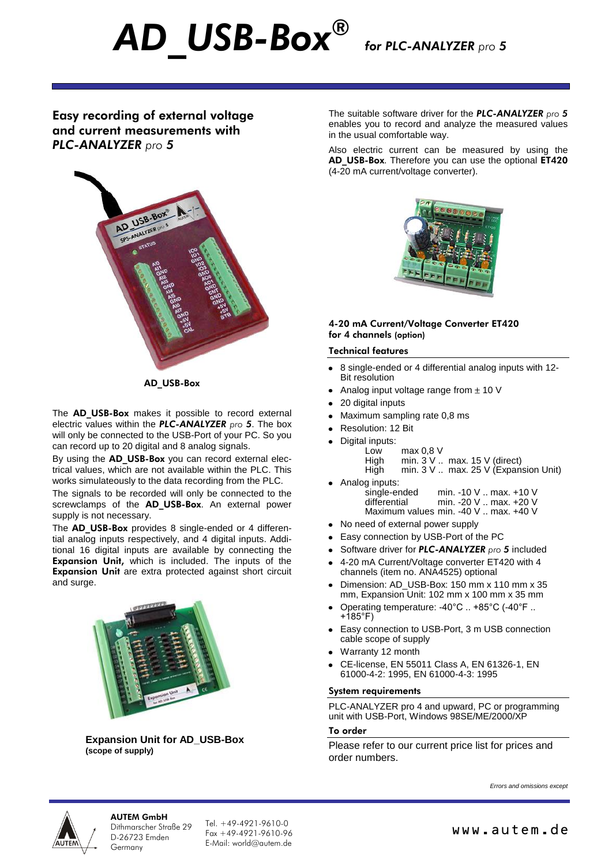*for PLC-ANALYZER pro 5*

# Easy recording of external voltage and current measurements with *PLC-ANALYZER pro 5*

*AD\_USB-Box ®*



AD\_USB-Box

The AD USB-Box makes it possible to record external electric values within the *PLC-ANALYZER pro 5*. The box will only be connected to the USB-Port of your PC. So you can record up to 20 digital and 8 analog signals.

By using the AD USB-Box you can record external electrical values, which are not available within the PLC. This works simulateously to the data recording from the PLC.

The signals to be recorded will only be connected to the screwclamps of the AD USB-Box. An external power supply is not necessary.

The **AD\_USB-Box** provides 8 single-ended or 4 differential analog inputs respectively, and 4 digital inputs. Additional 16 digital inputs are available by connecting the Expansion Unit, which is included. The inputs of the Expansion Unit are extra protected against short circuit and surge.



**Expansion Unit for AD\_USB-Box (scope of supply)**

The suitable software driver for the *PLC-ANALYZER pro 5* enables you to record and analyze the measured values in the usual comfortable way.

Also electric current can be measured by using the AD\_USB-Box. Therefore you can use the optional ET420 (4-20 mA current/voltage converter).



## 4-20 mA Current/Voltage Converter ET420 for 4 channels (option)

### Technical features

- 8 single-ended or 4 differential analog inputs with 12- Bit resolution
- Analog input voltage range from  $\pm$  10 V
- 20 digital inputs
- Maximum sampling rate 0,8 ms
- Resolution: 12 Bit
- Digital inputs:

| Low  | max 0.8 V |                                               |
|------|-----------|-----------------------------------------------|
| High |           | min. $3 \vee$ max. $15 \vee$ (direct)         |
| Hiah |           | min. $3 \vee$ max. $25 \vee$ (Expansion Unit) |

- 
- Analog inputs:<br>single-ended single-ended min. -10 V .. max. +10 V<br>differential min. -20 V .. max. +20 V min. -20 V .. max. +20 V Maximum values min. -40 V .. max. +40 V
- No need of external power supply
- Easy connection by USB-Port of the PC
- Software driver for *PLC-ANALYZER pro 5* included
- 4-20 mA Current/Voltage converter ET420 with 4 channels (item no. ANA4525) optional
- Dimension: AD\_USB-Box: 150 mm x 110 mm x 35 mm, Expansion Unit: 102 mm x 100 mm x 35 mm
- Operating temperature: -40°C .. +85°C (-40°F .. +185°F)
- Easy connection to USB-Port, 3 m USB connection cable scope of supply
- Warranty 12 month
- CE-license, EN 55011 Class A, EN 61326-1, EN 61000-4-2: 1995, EN 61000-4-3: 1995

#### System requirements

PLC-ANALYZER pro 4 and upward, PC or programming unit with USB-Port, Windows 98SE/ME/2000/XP

## To order

Please refer to our current price list for prices and order numbers.

*Errors and omissions except*



# AUTEM GmbH

Dithmarscher Straße 29 D-26723 Emden Germany

Tel. +49-4921-9610-0  $F_{\text{OY}} + 49 - 4921 - 9610 - 96$ E-Mail: world@autem.de